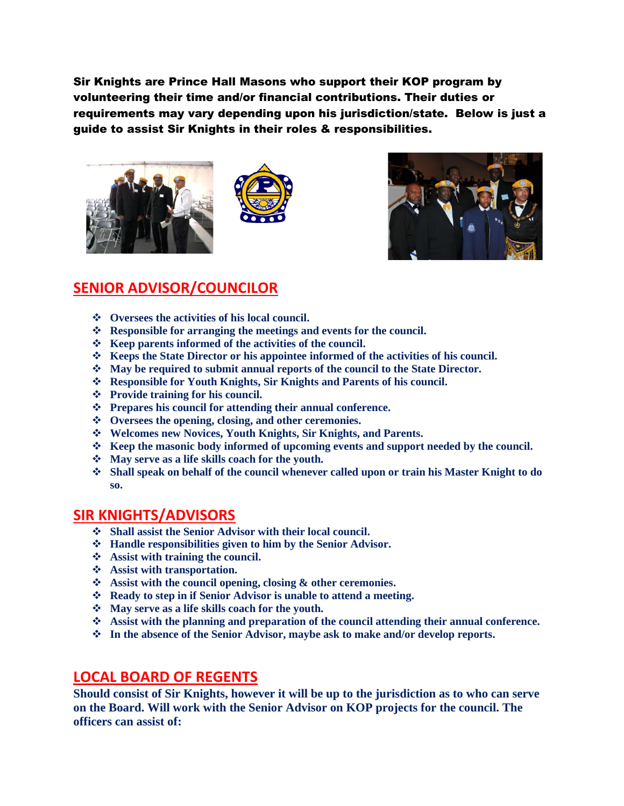Sir Knights are Prince Hall Masons who support their KOP program by volunteering their time and/or financial contributions. Their duties or requirements may vary depending upon his jurisdiction/state. Below is just a guide to assist Sir Knights in their roles & responsibilities.





## **SENIOR ADVISOR/COUNCILOR**

- ❖ **Oversees the activities of his local council.**
- ❖ **Responsible for arranging the meetings and events for the council.**
- ❖ **Keep parents informed of the activities of the council.**
- ❖ **Keeps the State Director or his appointee informed of the activities of his council.**
- ❖ **May be required to submit annual reports of the council to the State Director.**
- ❖ **Responsible for Youth Knights, Sir Knights and Parents of his council.**
- ❖ **Provide training for his council.**
- ❖ **Prepares his council for attending their annual conference.**
- ❖ **Oversees the opening, closing, and other ceremonies.**
- ❖ **Welcomes new Novices, Youth Knights, Sir Knights, and Parents.**
- ❖ **Keep the masonic body informed of upcoming events and support needed by the council.**
- ❖ **May serve as a life skills coach for the youth.**
- ❖ **Shall speak on behalf of the council whenever called upon or train his Master Knight to do so.**

## **SIR KNIGHTS/ADVISORS**

- ❖ **Shall assist the Senior Advisor with their local council.**
- ❖ **Handle responsibilities given to him by the Senior Advisor.**
- ❖ **Assist with training the council.**
- ❖ **Assist with transportation.**
- ❖ **Assist with the council opening, closing & other ceremonies.**
- ❖ **Ready to step in if Senior Advisor is unable to attend a meeting.**
- ❖ **May serve as a life skills coach for the youth.**
- ❖ **Assist with the planning and preparation of the council attending their annual conference.**
- ❖ **In the absence of the Senior Advisor, maybe ask to make and/or develop reports.**

## **LOCAL BOARD OF REGENTS**

**Should consist of Sir Knights, however it will be up to the jurisdiction as to who can serve on the Board. Will work with the Senior Advisor on KOP projects for the council. The officers can assist of:**